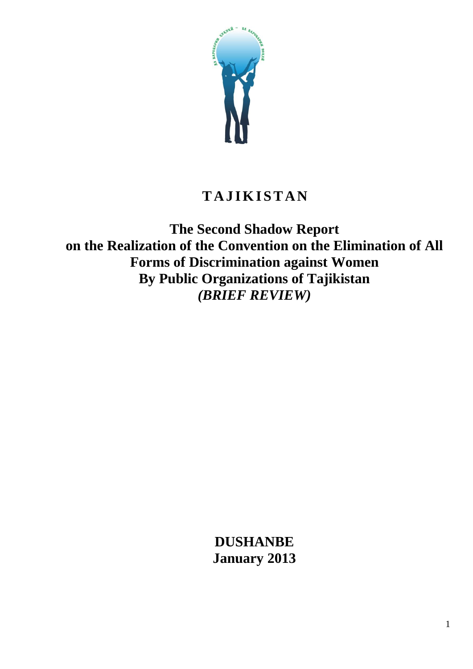

# **T A J I K I S T A N**

**The Second Shadow Report on the Realization of the Convention on the Elimination of All Forms of Discrimination against Women By Public Organizations of Tajikistan** *(BRIEF REVIEW)*

> **DUSHANBE January 2013**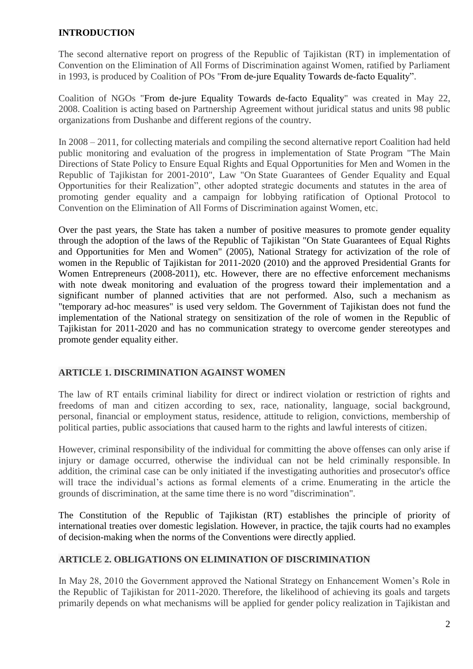## **INTRODUCTION**

The second alternative report on progress of the Republic of Tajikistan (RT) in implementation of Convention on the Elimination of All Forms of Discrimination against Women, ratified by Parliament in 1993, is produced by Coalition of POs "From de-jure Equality Towards de-facto Equality".

Coalition of NGOs "From de-jure Equality Towards de-facto Equality" was created in May 22, 2008. Coalition is acting based on Partnership Agreement without juridical status and units 98 public organizations from Dushanbe and different regions of the country.

In 2008 – 2011, for collecting materials and compiling the second alternative report Coalition had held public monitoring and evaluation of the progress in implementation of State Program "The Main Directions of State Policy to Ensure Equal Rights and Equal Opportunities for Men and Women in the Republic of Tajikistan for 2001-2010", Law "On State Guarantees of Gender Equality and Equal Opportunities for their Realization", other adopted strategic documents and statutes in the area of promoting gender equality and a campaign for lobbying ratification of Optional Protocol to Convention on the Elimination of All Forms of Discrimination against Women, etc.

Over the past years, the State has taken a number of positive measures to promote gender equality through the adoption of the laws of the Republic of Tajikistan "On State Guarantees of Equal Rights and Opportunities for Men and Women" (2005), National Strategy for activization of the role of women in the Republic of Tajikistan for 2011-2020 (2010) and the approved Presidential Grants for Women Entrepreneurs (2008-2011), etc. However, there are no effective enforcement mechanisms with note dweak monitoring and evaluation of the progress toward their implementation and a significant number of planned activities that are not performed. Also, such a mechanism as "temporary ad-hoc measures" is used very seldom. The Government of Tajikistan does not fund the implementation of the National strategy on sensitization of the role of women in the Republic of Tajikistan for 2011-2020 and has no communication strategy to overcome gender stereotypes and promote gender equality either.

## **ARTICLE 1. DISCRIMINATION AGAINST WOMEN**

The law of RT entails criminal liability for direct or indirect violation or restriction of rights and freedoms of man and citizen according to sex, race, nationality, language, social background, personal, financial or employment status, residence, attitude to religion, convictions, membership of political parties, public associations that caused harm to the rights and lawful interests of citizen.

However, criminal responsibility of the individual for committing the above offenses can only arise if injury or damage occurred, otherwise the individual can not be held criminally responsible. In addition, the criminal case can be only initiated if the investigating authorities and prosecutor's office will trace the individual's actions as formal elements of a crime. Enumerating in the article the grounds of discrimination, at the same time there is no word "discrimination".

The Constitution of the Republic of Tajikistan (RT) establishes the principle of priority of international treaties over domestic legislation. However, in practice, the tajik courts had no examples of decision-making when the norms of the Conventions were directly applied.

## **ARTICLE 2. OBLIGATIONS ON ELIMINATION OF DISCRIMINATION**

In May 28, 2010 the Government approved the National Strategy on Enhancement Women's Role in the Republic of Tajikistan for 2011-2020. Therefore, the likelihood of achieving its goals and targets primarily depends on what mechanisms will be applied for gender policy realization in Tajikistan and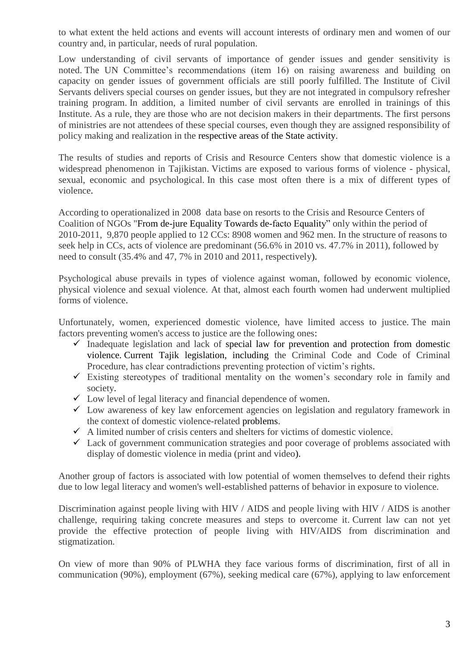to what extent the held actions and events will account interests of ordinary men and women of our country and, in particular, needs of rural population.

Low understanding of civil servants of importance of gender issues and gender sensitivity is noted. The UN Committee's recommendations (item 16) on raising awareness and building on capacity on gender issues of government officials are still poorly fulfilled. The Institute of Civil Servants delivers special courses on gender issues, but they are not integrated in compulsory refresher training program. In addition, a limited number of civil servants are enrolled in trainings of this Institute. As a rule, they are those who are not decision makers in their departments. The first persons of ministries are not attendees of these special courses, even though they are assigned responsibility of policy making and realization in the respective areas of the State activity.

The results of studies and reports of Crisis and Resource Centers show that domestic violence is a widespread phenomenon in Tajikistan. Victims are exposed to various forms of violence - physical, sexual, economic and psychological. In this case most often there is a mix of different types of violence.

According to operationalized in 2008 data base on resorts to the Crisis and Resource Centers of Coalition of NGOs "From de-jure Equality Towards de-facto Equality" only within the period of 2010-2011, 9,870 people applied to 12 CCs: 8908 women and 962 men. In the structure of reasons to seek help in CCs, acts of violence are predominant (56.6% in 2010 vs. 47.7% in 2011), followed by need to consult (35.4% and 47, 7% in 2010 and 2011, respectively).

Psychological abuse prevails in types of violence against woman, followed by economic violence, physical violence and sexual violence. At that, almost each fourth women had underwent multiplied forms of violence.

Unfortunately, women, experienced domestic violence, have limited access to justice. The main factors preventing women's access to justice are the following ones:

- $\checkmark$  Inadequate legislation and lack of special law for prevention and protection from domestic violence. Current Tajik legislation, including the Criminal Code and Code of Criminal Procedure, has clear contradictions preventing protection of victim's rights.
- $\checkmark$  Existing stereotypes of traditional mentality on the women's secondary role in family and society.
- $\checkmark$  Low level of legal literacy and financial dependence of women.
- $\checkmark$  Low awareness of key law enforcement agencies on legislation and regulatory framework in the context of domestic violence-related problems.
- $\checkmark$  A limited number of crisis centers and shelters for victims of domestic violence.
- $\checkmark$  Lack of government communication strategies and poor coverage of problems associated with display of domestic violence in media (print and video).

Another group of factors is associated with low potential of women themselves to defend their rights due to low legal literacy and women's well-established patterns of behavior in exposure to violence.

Discrimination against people living with HIV / AIDS and people living with HIV / AIDS is another challenge, requiring taking concrete measures and steps to overcome it. Current law can not yet provide the effective protection of people living with HIV/AIDS from discrimination and stigmatization.

On view of more than 90% of PLWHA they face various forms of discrimination, first of all in communication (90%), employment (67%), seeking medical care (67%), applying to law enforcement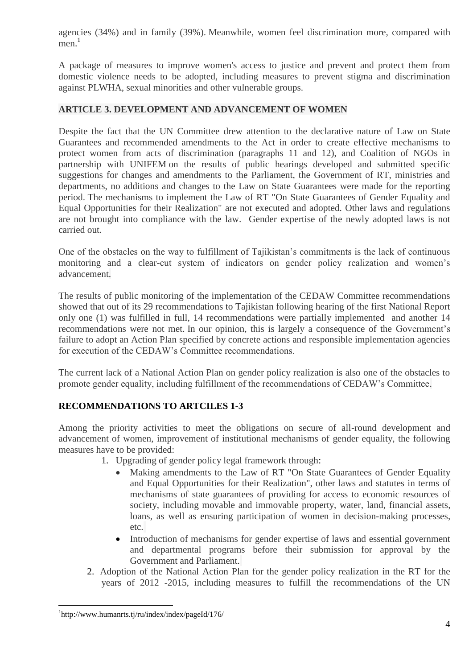agencies (34%) and in family (39%). Meanwhile, women feel discrimination more, compared with men.<sup>1</sup>

A package of measures to improve women's access to justice and prevent and protect them from domestic violence needs to be adopted, including measures to prevent stigma and discrimination against PLWHA, sexual minorities and other vulnerable groups.

## **ARTICLE 3. DEVELOPMENT AND ADVANCEMENT OF WOMEN**

Despite the fact that the UN Committee drew attention to the declarative nature of Law on State Guarantees and recommended amendments to the Act in order to create effective mechanisms to protect women from acts of discrimination (paragraphs 11 and 12), and Coalition of NGOs in partnership with UNIFEM on the results of public hearings developed and submitted specific suggestions for changes and amendments to the Parliament, the Government of RT, ministries and departments, no additions and changes to the Law on State Guarantees were made for the reporting period. The mechanisms to implement the Law of RT "On State Guarantees of Gender Equality and Equal Opportunities for their Realization" are not executed and adopted. Other laws and regulations are not brought into compliance with the law. Gender expertise of the newly adopted laws is not carried out.

One of the obstacles on the way to fulfillment of Tajikistan's commitments is the lack of continuous monitoring and a clear-cut system of indicators on gender policy realization and women's advancement.

The results of public monitoring of the implementation of the CEDAW Committee recommendations showed that out of its 29 recommendations to Tajikistan following hearing of the first National Report only one (1) was fulfilled in full, 14 recommendations were partially implemented and another 14 recommendations were not met. In our opinion, this is largely a consequence of the Government's failure to adopt an Action Plan specified by concrete actions and responsible implementation agencies for execution of the CEDAW's Committee recommendations.

The current lack of a National Action Plan on gender policy realization is also one of the obstacles to promote gender equality, including fulfillment of the recommendations of CEDAW's Committee.

## **RECOMMENDATIONS TO ARTCILES 1-3**

Among the priority activities to meet the obligations on secure of all-round development and advancement of women, improvement of institutional mechanisms of gender equality, the following measures have to be provided:

- 1. Upgrading of gender policy legal framework through:
	- Making amendments to the Law of RT "On State Guarantees of Gender Equality and Equal Opportunities for their Realization", other laws and statutes in terms of mechanisms of state guarantees of providing for access to economic resources of society, including movable and immovable property, water, land, financial assets, loans, as well as ensuring participation of women in decision-making processes, etc.
	- Introduction of mechanisms for gender expertise of laws and essential government and departmental programs before their submission for approval by the Government and Parliament.
- 2. Adoption of the National Action Plan for the gender policy realization in the RT for the years of 2012 -2015, including measures to fulfill the recommendations of the UN

 $\overline{a}$ 

<sup>1</sup> http://www.humanrts.tj/ru/index/index/pageId/176/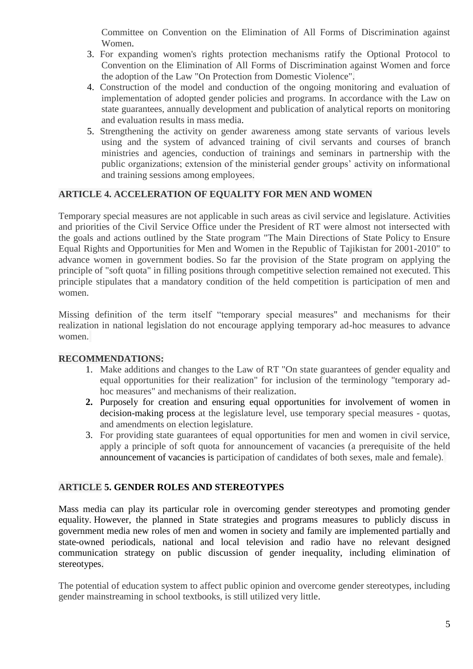Committee on Convention on the Elimination of All Forms of Discrimination against Women.

- 3. For expanding women's rights protection mechanisms ratify the Optional Protocol to Convention on the Elimination of All Forms of Discrimination against Women and force the adoption of the Law "On Protection from Domestic Violence".
- 4. Construction of the model and conduction of the ongoing monitoring and evaluation of implementation of adopted gender policies and programs. In accordance with the Law on state guarantees, annually development and publication of analytical reports on monitoring and evaluation results in mass media.
- 5. Strengthening the activity on gender awareness among state servants of various levels using and the system of advanced training of civil servants and courses of branch ministries and agencies, conduction of trainings and seminars in partnership with the public organizations; extension of the ministerial gender groups' activity on informational and training sessions among employees.

## **ARTICLE 4. ACCELERATION OF EQUALITY FOR MEN AND WOMEN**

Temporary special measures are not applicable in such areas as civil service and legislature. Activities and priorities of the Civil Service Office under the President of RT were almost not intersected with the goals and actions outlined by the State program "The Main Directions of State Policy to Ensure Equal Rights and Opportunities for Men and Women in the Republic of Tajikistan for 2001-2010" to advance women in government bodies. So far the provision of the State program on applying the principle of "soft quota" in filling positions through competitive selection remained not executed. This principle stipulates that a mandatory condition of the held competition is participation of men and women.

Missing definition of the term itself "temporary special measures" and mechanisms for their realization in national legislation do not encourage applying temporary ad-hoc measures to advance women.

## **RECOMMENDATIONS:**

- 1. Make additions and changes to the Law of RT "On state guarantees of gender equality and equal opportunities for their realization" for inclusion of the terminology "temporary adhoc measures" and mechanisms of their realization.
- **2.** Purposely for creation and ensuring equal opportunities for involvement of women in decision-making process at the legislature level, use temporary special measures - quotas, and amendments on election legislature.
- 3. For providing state guarantees of equal opportunities for men and women in civil service, apply a principle of soft quota for announcement of vacancies (a prerequisite of the held announcement of vacancies is participation of candidates of both sexes, male and female).

## **ARTICLE 5. GENDER ROLES AND STEREOTYPES**

Mass media can play its particular role in overcoming gender stereotypes and promoting gender equality. However, the planned in State strategies and programs measures to publicly discuss in government media new roles of men and women in society and family are implemented partially and state-owned periodicals, national and local television and radio have no relevant designed communication strategy on public discussion of gender inequality, including elimination of stereotypes.

The potential of education system to affect public opinion and overcome gender stereotypes, including gender mainstreaming in school textbooks, is still utilized very little.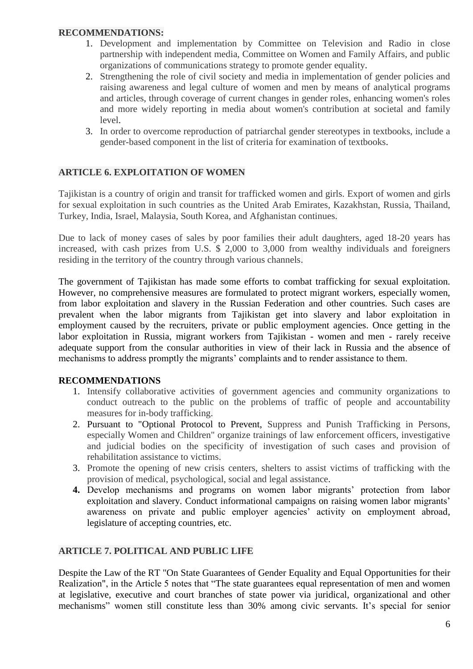#### **RECOMMENDATIONS:**

- 1. Development and implementation by Committee on Television and Radio in close partnership with independent media, Committee on Women and Family Affairs, and public organizations of communications strategy to promote gender equality.
- 2. Strengthening the role of civil society and media in implementation of gender policies and raising awareness and legal culture of women and men by means of analytical programs and articles, through coverage of current changes in gender roles, enhancing women's roles and more widely reporting in media about women's contribution at societal and family level.
- 3. In order to overcome reproduction of patriarchal gender stereotypes in textbooks, include a gender-based component in the list of criteria for examination of textbooks.

## **ARTICLE 6. EXPLOITATION OF WOMEN**

Tajikistan is a country of origin and transit for trafficked women and girls. Export of women and girls for sexual exploitation in such countries as the United Arab Emirates, Kazakhstan, Russia, Thailand, Turkey, India, Israel, Malaysia, South Korea, and Afghanistan continues.

Due to lack of money cases of sales by poor families their adult daughters, aged 18-20 years has increased, with cash prizes from U.S. \$ 2,000 to 3,000 from wealthy individuals and foreigners residing in the territory of the country through various channels.

The government of Tajikistan has made some efforts to combat trafficking for sexual exploitation. However, no comprehensive measures are formulated to protect migrant workers, especially women, from labor exploitation and slavery in the Russian Federation and other countries. Such cases are prevalent when the labor migrants from Tajikistan get into slavery and labor exploitation in employment caused by the recruiters, private or public employment agencies. Once getting in the labor exploitation in Russia, migrant workers from Tajikistan - women and men - rarely receive adequate support from the consular authorities in view of their lack in Russia and the absence of mechanisms to address promptly the migrants' complaints and to render assistance to them.

## **RECOMMENDATIONS**

- 1. Intensify collaborative activities of government agencies and community organizations to conduct outreach to the public on the problems of traffic of people and accountability measures for in-body trafficking.
- 2. Pursuant to "Optional Protocol to Prevent, Suppress and Punish Trafficking in Persons, especially Women and Children" organize trainings of law enforcement officers, investigative and judicial bodies on the specificity of investigation of such cases and provision of rehabilitation assistance to victims.
- 3. Promote the opening of new crisis centers, shelters to assist victims of trafficking with the provision of medical, psychological, social and legal assistance.
- **4.** Develop mechanisms and programs on women labor migrants' protection from labor exploitation and slavery. Conduct informational campaigns on raising women labor migrants' awareness on private and public employer agencies' activity on employment abroad, legislature of accepting countries, etc.

## **ARTICLE 7. POLITICAL AND PUBLIC LIFE**

Despite the Law of the RT "On State Guarantees of Gender Equality and Equal Opportunities for their Realization", in the Article 5 notes that "The state guarantees equal representation of men and women at legislative, executive and court branches of state power via juridical, organizational and other mechanisms" women still constitute less than 30% among civic servants. It's special for senior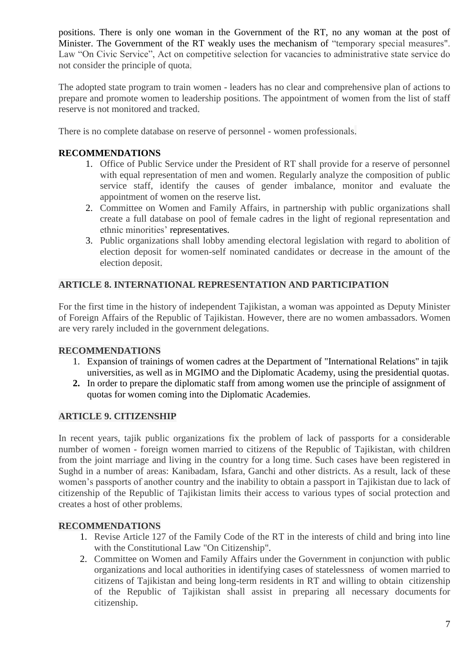positions. There is only one woman in the Government of the RT, no any woman at the post of Minister. The Government of the RT weakly uses the mechanism of "temporary special measures". Law "On Civic Service", Act on competitive selection for vacancies to administrative state service do not consider the principle of quota.

The adopted state program to train women - leaders has no clear and comprehensive plan of actions to prepare and promote women to leadership positions. The appointment of women from the list of staff reserve is not monitored and tracked.

There is no complete database on reserve of personnel - women professionals.

# **RECOMMENDATIONS**

- 1. Office of Public Service under the President of RT shall provide for a reserve of personnel with equal representation of men and women. Regularly analyze the composition of public service staff, identify the causes of gender imbalance, monitor and evaluate the appointment of women on the reserve list.
- 2. Committee on Women and Family Affairs, in partnership with public organizations shall create a full database on pool of female cadres in the light of regional representation and ethnic minorities' representatives.
- 3. Public organizations shall lobby amending electoral legislation with regard to abolition of election deposit for women-self nominated candidates or decrease in the amount of the election deposit.

## **ARTICLE 8. INTERNATIONAL REPRESENTATION AND PARTICIPATION**

For the first time in the history of independent Tajikistan, a woman was appointed as Deputy Minister of Foreign Affairs of the Republic of Tajikistan. However, there are no women ambassadors. Women are very rarely included in the government delegations.

## **RECOMMENDATIONS**

- 1. Expansion of trainings of women cadres at the Department of "International Relations" in tajik universities, as well as in MGIMO and the Diplomatic Academy, using the presidential quotas.
- **2.** In order to prepare the diplomatic staff from among women use the principle of assignment of quotas for women coming into the Diplomatic Academies.

## **ARTICLE 9. CITIZENSHIP**

In recent years, tajik public organizations fix the problem of lack of passports for a considerable number of women - foreign women married to citizens of the Republic of Tajikistan, with children from the joint marriage and living in the country for a long time. Such cases have been registered in Sughd in a number of areas: Kanibadam, Isfara, Ganchi and other districts. As a result, lack of these women's passports of another country and the inability to obtain a passport in Tajikistan due to lack of citizenship of the Republic of Tajikistan limits their access to various types of social protection and creates a host of other problems.

## **RECOMMENDATIONS**

- 1. Revise Article 127 of the Family Code of the RT in the interests of child and bring into line with the Constitutional Law "On Citizenship".
- 2. Committee on Women and Family Affairs under the Government in conjunction with public organizations and local authorities in identifying cases of statelessness of women married to citizens of Tajikistan and being long-term residents in RT and willing to obtain citizenship of the Republic of Tajikistan shall assist in preparing all necessary documents for citizenship.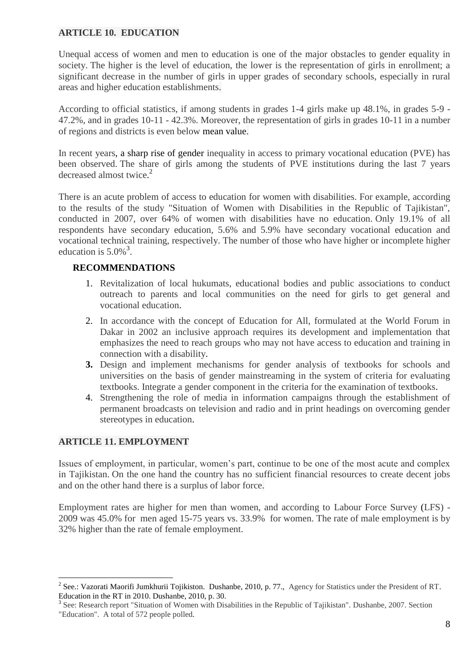## **ARTICLE 10. EDUCATION**

Unequal access of women and men to education is one of the major obstacles to gender equality in society. The higher is the level of education, the lower is the representation of girls in enrollment; a significant decrease in the number of girls in upper grades of secondary schools, especially in rural areas and higher education establishments.

According to official statistics, if among students in grades 1-4 girls make up 48.1%, in grades 5-9 - 47.2%, and in grades 10-11 - 42.3%. Moreover, the representation of girls in grades 10-11 in a number of regions and districts is even below mean value.

In recent years, a sharp rise of gender inequality in access to primary vocational education (PVE) has been observed. The share of girls among the students of PVE institutions during the last 7 years decreased almost twice.<sup>2</sup>

There is an acute problem of access to education for women with disabilities. For example, according to the results of the study "Situation of Women with Disabilities in the Republic of Tajikistan", conducted in 2007, over 64% of women with disabilities have no education. Only 19.1% of all respondents have secondary education, 5.6% and 5.9% have secondary vocational education and vocational technical training, respectively. The number of those who have higher or incomplete higher education is  $5.0\%$ <sup>3</sup>.

#### **RECOMMENDATIONS**

- 1. Revitalization of local hukumats, educational bodies and public associations to conduct outreach to parents and local communities on the need for girls to get general and vocational education.
- 2. In accordance with the concept of Education for All, formulated at the World Forum in Dakar in 2002 an inclusive approach requires its development and implementation that emphasizes the need to reach groups who may not have access to education and training in connection with a disability.
- **3.** Design and implement mechanisms for gender analysis of textbooks for schools and universities on the basis of gender mainstreaming in the system of criteria for evaluating textbooks. Integrate a gender component in the criteria for the examination of textbooks.
- 4. Strengthening the role of media in information campaigns through the establishment of permanent broadcasts on television and radio and in print headings on overcoming gender stereotypes in education.

## **ARTICLE 11. EMPLOYMENT**

 $\overline{a}$ 

Issues of employment, in particular, women's part, continue to be one of the most acute and complex in Tajikistan. On the one hand the country has no sufficient financial resources to create decent jobs and on the other hand there is a surplus of labor force.

Employment rates are higher for men than women, and according to Labour Force Survey (LFS) - 2009 was 45.0% for men aged 15-75 years vs. 33.9% for women. The rate of male employment is by 32% higher than the rate of female employment.

<sup>&</sup>lt;sup>2</sup> See.: Vazorati Maorifi Jumkhurii Tojikiston. Dushanbe, 2010, p. 77., Agency for Statistics under the President of RT. Education in the RT in 2010. Dushanbe, 2010, p. 30.

<sup>&</sup>lt;sup>3</sup> See: Research report "Situation of Women with Disabilities in the Republic of Tajikistan". Dushanbe, 2007. Section "Education". A total of 572 people polled.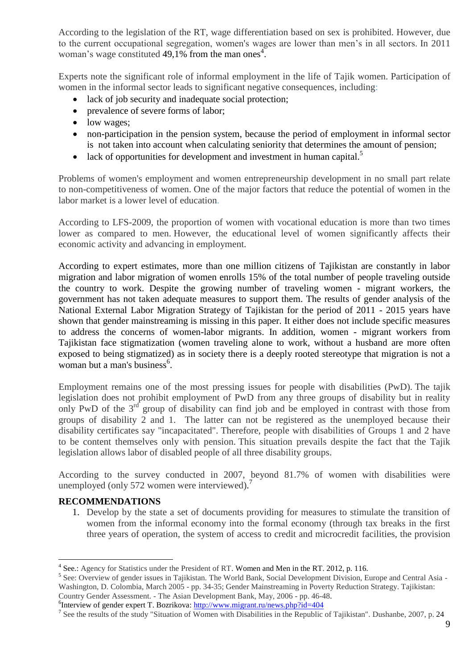According to the legislation of the RT, wage differentiation based on sex is prohibited. However, due to the current occupational segregation, women's wages are lower than men's in all sectors. In 2011 woman's wage constituted  $49,1\%$  from the man ones<sup>4</sup>.

Experts note the significant role of informal employment in the life of Tajik women. Participation of women in the informal sector leads to significant negative consequences, including:

- lack of job security and inadequate social protection;
- prevalence of severe forms of labor;
- low wages;
- non-participation in the pension system, because the period of employment in informal sector is not taken into account when calculating seniority that determines the amount of pension;
- $\bullet$  lack of opportunities for development and investment in human capital.<sup>5</sup>

Problems of women's employment and women entrepreneurship development in no small part relate to non-competitiveness of women. One of the major factors that reduce the potential of women in the labor market is a lower level of education.

According to LFS-2009, the proportion of women with vocational education is more than two times lower as compared to men. However, the educational level of women significantly affects their economic activity and advancing in employment.

According to expert estimates, more than one million citizens of Tajikistan are constantly in labor migration and labor migration of women enrolls 15% of the total number of people traveling outside the country to work. Despite the growing number of traveling women - migrant workers, the government has not taken adequate measures to support them. The results of gender analysis of the National External Labor Migration Strategy of Tajikistan for the period of 2011 - 2015 years have shown that gender mainstreaming is missing in this paper. It either does not include specific measures to address the concerns of women-labor migrants. In addition, women - migrant workers from Tajikistan face stigmatization (women traveling alone to work, without a husband are more often exposed to being stigmatized) as in society there is a deeply rooted stereotype that migration is not a woman but a man's business<sup>6</sup>.

Employment remains one of the most pressing issues for people with disabilities (PwD). The tajik legislation does not prohibit employment of PwD from any three groups of disability but in reality only PwD of the 3<sup>rd</sup> group of disability can find job and be employed in contrast with those from groups of disability 2 and 1. The latter can not be registered as the unemployed because their disability certificates say "incapacitated". Therefore, people with disabilities of Groups 1 and 2 have to be content themselves only with pension. This situation prevails despite the fact that the Tajik legislation allows labor of disabled people of all three disability groups.

According to the survey conducted in 2007, beyond 81.7% of women with disabilities were unemployed (only 572 women were interviewed).<sup>7</sup>

## **RECOMMENDATIONS**

 $\overline{a}$ 

1. Develop by the state a set of documents providing for measures to stimulate the transition of women from the informal economy into the formal economy (through tax breaks in the first three years of operation, the system of access to credit and microcredit facilities, the provision

<sup>&</sup>lt;sup>4</sup> See.: Agency for Statistics under the President of RT. Women and Men in the RT. 2012, p. 116.

<sup>&</sup>lt;sup>5</sup> See: Overview of gender issues in Tajikistan. The World Bank, Social Development Division, Europe and Central Asia -Washington, D. Colombia, March 2005 - pp. 34-35; Gender Mainstreaming in Poverty Reduction Strategy. Tajikistan: Country Gender Assessment. - The Asian Development Bank, May, 2006 - pp. 46-48.

<sup>&</sup>lt;sup>6</sup>Interview of gender expert T. Bozrikova:<http://www.migrant.ru/news.php?id=404>

<sup>&</sup>lt;sup>7</sup> See the results of the study "Situation of Women with Disabilities in the Republic of Tajikistan". Dushanbe, 2007, p. 24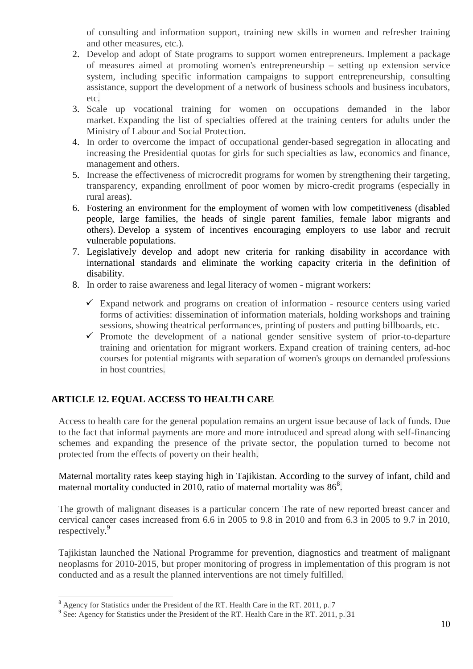of consulting and information support, training new skills in women and refresher training and other measures, etc.).

- 2. Develop and adopt of State programs to support women entrepreneurs. Implement a package of measures aimed at promoting women's entrepreneurship – setting up extension service system, including specific information campaigns to support entrepreneurship, consulting assistance, support the development of a network of business schools and business incubators, etc.
- 3. Scale up vocational training for women on occupations demanded in the labor market. Expanding the list of specialties offered at the training centers for adults under the Ministry of Labour and Social Protection.
- 4. In order to overcome the impact of occupational gender-based segregation in allocating and increasing the Presidential quotas for girls for such specialties as law, economics and finance, management and others.
- 5. Increase the effectiveness of microcredit programs for women by strengthening their targeting, transparency, expanding enrollment of poor women by micro-credit programs (especially in rural areas).
- 6. Fostering an environment for the employment of women with low competitiveness (disabled people, large families, the heads of single parent families, female labor migrants and others). Develop a system of incentives encouraging employers to use labor and recruit vulnerable populations.
- 7. Legislatively develop and adopt new criteria for ranking disability in accordance with international standards and eliminate the working capacity criteria in the definition of disability.
- 8. In order to raise awareness and legal literacy of women migrant workers:
	- $\checkmark$  Expand network and programs on creation of information resource centers using varied forms of activities: dissemination of information materials, holding workshops and training sessions, showing theatrical performances, printing of posters and putting billboards, etc.
	- $\checkmark$  Promote the development of a national gender sensitive system of prior-to-departure training and orientation for migrant workers. Expand creation of training centers, ad-hoc courses for potential migrants with separation of women's groups on demanded professions in host countries.

## **ARTICLE 12. EQUAL ACCESS TO HEALTH CARE**

Access to health care for the general population remains an urgent issue because of lack of funds. Due to the fact that informal payments are more and more introduced and spread along with self-financing schemes and expanding the presence of the private sector, the population turned to become not protected from the effects of poverty on their health.

Maternal mortality rates keep staying high in Tajikistan. According to the survey of infant, child and maternal mortality conducted in 2010, ratio of maternal mortality was  $86^8$ .

The growth of malignant diseases is a particular concern The rate of new reported breast cancer and cervical cancer cases increased from 6.6 in 2005 to 9.8 in 2010 and from 6.3 in 2005 to 9.7 in 2010, respectively. 9

Tajikistan launched the National Programme for prevention, diagnostics and treatment of malignant neoplasms for 2010-2015, but proper monitoring of progress in implementation of this program is not conducted and as a result the planned interventions are not timely fulfilled.

 $\overline{a}$  $8$  Agency for Statistics under the President of the RT. Health Care in the RT. 2011, p. 7

<sup>&</sup>lt;sup>9</sup> See: Agency for Statistics under the President of the RT. Health Care in the RT. 2011, p. 31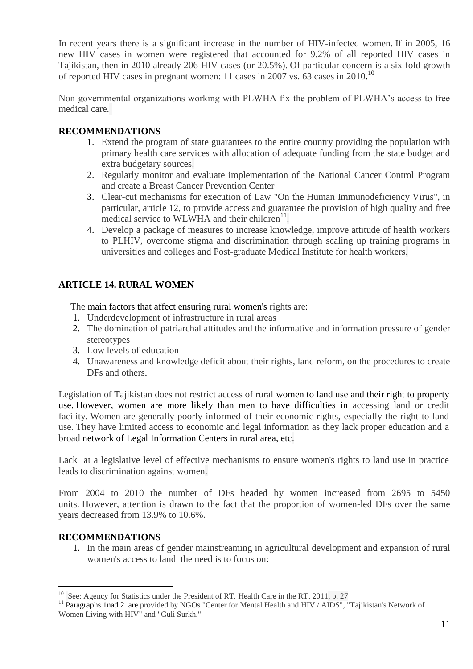In recent years there is a significant increase in the number of HIV-infected women. If in 2005, 16 new HIV cases in women were registered that accounted for 9.2% of all reported HIV cases in Tajikistan, then in 2010 already 206 HIV cases (or 20.5%). Of particular concern is a six fold growth of reported HIV cases in pregnant women: 11 cases in 2007 vs. 63 cases in 2010.<sup>10</sup>

Non-governmental organizations working with PLWHA fix the problem of PLWHA's access to free medical care.

## **RECOMMENDATIONS**

- 1. Extend the program of state guarantees to the entire country providing the population with primary health care services with allocation of adequate funding from the state budget and extra budgetary sources.
- 2. Regularly monitor and evaluate implementation of the National Cancer Control Program and create a Breast Cancer Prevention Center
- 3. Clear-cut mechanisms for execution of Law "On the Human Immunodeficiency Virus", in particular, article 12, to provide access and guarantee the provision of high quality and free medical service to WLWHA and their children $^{11}$ .
- 4. Develop a package of measures to increase knowledge, improve attitude of health workers to PLHIV, overcome stigma and discrimination through scaling up training programs in universities and colleges and Post-graduate Medical Institute for health workers.

## **ARTICLE 14. RURAL WOMEN**

The main factors that affect ensuring rural women's rights are:

- 1. Underdevelopment of infrastructure in rural areas
- 2. The domination of patriarchal attitudes and the informative and information pressure of gender stereotypes
- 3. Low levels of education
- 4. Unawareness and knowledge deficit about their rights, land reform, on the procedures to create DFs and others.

Legislation of Tajikistan does not restrict access of rural women to land use and their right to property use. However, women are more likely than men to have difficulties in accessing land or credit facility. Women are generally poorly informed of their economic rights, especially the right to land use. They have limited access to economic and legal information as they lack proper education and a broad network of Legal Information Centers in rural area, etc.

Lack at a legislative level of effective mechanisms to ensure women's rights to land use in practice leads to discrimination against women.

From 2004 to 2010 the number of DFs headed by women increased from 2695 to 5450 units. However, attention is drawn to the fact that the proportion of women-led DFs over the same years decreased from 13.9% to 10.6%.

## **RECOMMENDATIONS**

 $\overline{a}$ 

1. In the main areas of gender mainstreaming in agricultural development and expansion of rural women's access to land the need is to focus on:

<sup>&</sup>lt;sup>10</sup> See: Agency for Statistics under the President of RT. Health Care in the RT. 2011, p. 27

<sup>&</sup>lt;sup>11</sup> Paragraphs 1nad 2 are provided by NGOs "Center for Mental Health and HIV / AIDS", "Tajikistan's Network of Women Living with HIV" and "Guli Surkh."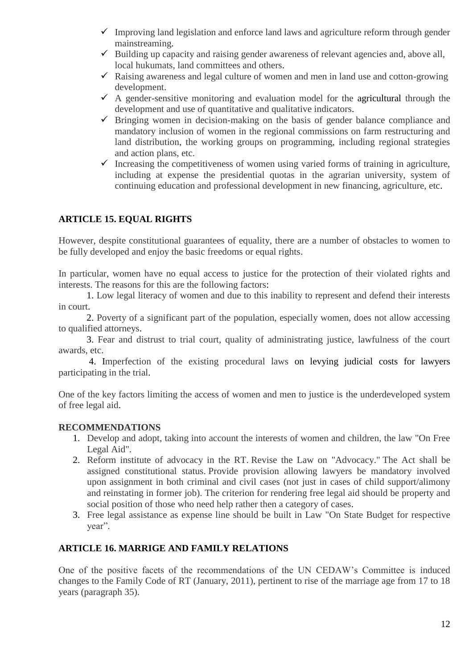- $\checkmark$  Improving land legislation and enforce land laws and agriculture reform through gender mainstreaming.
- $\checkmark$  Building up capacity and raising gender awareness of relevant agencies and, above all, local hukumats, land committees and others.
- $\checkmark$  Raising awareness and legal culture of women and men in land use and cotton-growing development.
- $\checkmark$  A gender-sensitive monitoring and evaluation model for the agricultural through the development and use of quantitative and qualitative indicators.
- $\checkmark$  Bringing women in decision-making on the basis of gender balance compliance and mandatory inclusion of women in the regional commissions on farm restructuring and land distribution, the working groups on programming, including regional strategies and action plans, etc.
- $\checkmark$  Increasing the competitiveness of women using varied forms of training in agriculture, including at expense the presidential quotas in the agrarian university, system of continuing education and professional development in new financing, agriculture, etc.

# **ARTICLE 15. EQUAL RIGHTS**

However, despite constitutional guarantees of equality, there are a number of obstacles to women to be fully developed and enjoy the basic freedoms or equal rights.

In particular, women have no equal access to justice for the protection of their violated rights and interests. The reasons for this are the following factors:

1. Low legal literacy of women and due to this inability to represent and defend their interests in court.

2. Poverty of a significant part of the population, especially women, does not allow accessing to qualified attorneys.

3. Fear and distrust to trial court, quality of administrating justice, lawfulness of the court awards, etc.

4. Imperfection of the existing procedural laws on levying judicial costs for lawyers participating in the trial.

One of the key factors limiting the access of women and men to justice is the underdeveloped system of free legal aid.

## **RECOMMENDATIONS**

- 1. Develop and adopt, taking into account the interests of women and children, the law "On Free Legal Aid".
- 2. Reform institute of advocacy in the RT. Revise the Law on "Advocacy." The Act shall be assigned constitutional status. Provide provision allowing lawyers be mandatory involved upon assignment in both criminal and civil cases (not just in cases of child support/alimony and reinstating in former job). The criterion for rendering free legal aid should be property and social position of those who need help rather then a category of cases.
- 3. Free legal assistance as expense line should be built in Law "On State Budget for respective year".

## **ARTICLE 16. MARRIGE AND FAMILY RELATIONS**

One of the positive facets of the recommendations of the UN CEDAW's Committee is induced changes to the Family Code of RT (January, 2011), pertinent to rise of the marriage age from 17 to 18 years (paragraph 35).